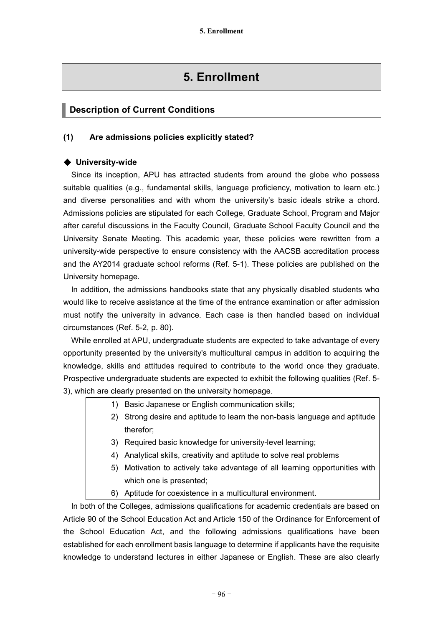# **5. Enrollment**

# **Description of Current Conditions**

# **(1) Are admissions policies explicitly stated?**

# ◆ **University-wide**

Since its inception, APU has attracted students from around the globe who possess suitable qualities (e.g., fundamental skills, language proficiency, motivation to learn etc.) and diverse personalities and with whom the university's basic ideals strike a chord. Admissions policies are stipulated for each College, Graduate School, Program and Major after careful discussions in the Faculty Council, Graduate School Faculty Council and the University Senate Meeting. This academic year, these policies were rewritten from a university-wide perspective to ensure consistency with the AACSB accreditation process and the AY2014 graduate school reforms (Ref. 5-1). These policies are published on the University homepage.

In addition, the admissions handbooks state that any physically disabled students who would like to receive assistance at the time of the entrance examination or after admission must notify the university in advance. Each case is then handled based on individual circumstances (Ref. 5-2, p. 80).

While enrolled at APU, undergraduate students are expected to take advantage of every opportunity presented by the university's multicultural campus in addition to acquiring the knowledge, skills and attitudes required to contribute to the world once they graduate. Prospective undergraduate students are expected to exhibit the following qualities (Ref. 5- 3), which are clearly presented on the university homepage.

- 1) Basic Japanese or English communication skills;
- 2) Strong desire and aptitude to learn the non-basis language and aptitude therefor;
- 3) Required basic knowledge for university-level learning;
- 4) Analytical skills, creativity and aptitude to solve real problems
- 5) Motivation to actively take advantage of all learning opportunities with which one is presented;
- 6) Aptitude for coexistence in a multicultural environment.

In both of the Colleges, admissions qualifications for academic credentials are based on Article 90 of the School Education Act and Article 150 of the Ordinance for Enforcement of the School Education Act, and the following admissions qualifications have been established for each enrollment basis language to determine if applicants have the requisite knowledge to understand lectures in either Japanese or English. These are also clearly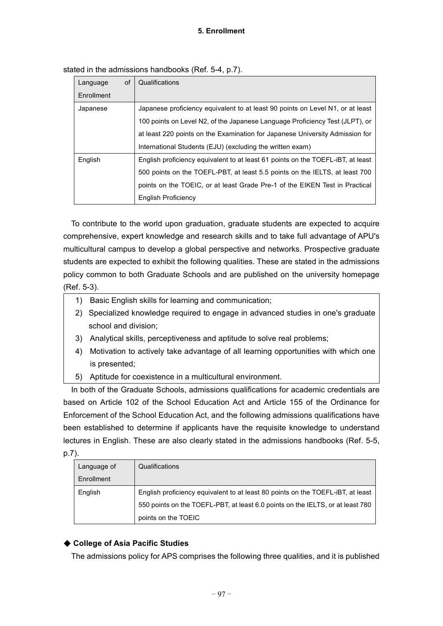| Language   | 0f | Qualifications                                                                  |
|------------|----|---------------------------------------------------------------------------------|
| Enrollment |    |                                                                                 |
| Japanese   |    | Japanese proficiency equivalent to at least 90 points on Level N1, or at least  |
|            |    | 100 points on Level N2, of the Japanese Language Proficiency Test (JLPT), or    |
|            |    | at least 220 points on the Examination for Japanese University Admission for    |
|            |    | International Students (EJU) (excluding the written exam)                       |
| English    |    | English proficiency equivalent to at least 61 points on the TOEFL-iBT, at least |
|            |    | 500 points on the TOEFL-PBT, at least 5.5 points on the IELTS, at least 700     |
|            |    | points on the TOEIC, or at least Grade Pre-1 of the EIKEN Test in Practical     |
|            |    | English Proficiency                                                             |

stated in the admissions handbooks (Ref. 5-4, p.7).

To contribute to the world upon graduation, graduate students are expected to acquire comprehensive, expert knowledge and research skills and to take full advantage of APU's multicultural campus to develop a global perspective and networks. Prospective graduate students are expected to exhibit the following qualities. These are stated in the admissions policy common to both Graduate Schools and are published on the university homepage (Ref. 5-3).

- 1) Basic English skills for learning and communication;
- 2) Specialized knowledge required to engage in advanced studies in one's graduate school and division;
- 3) Analytical skills, perceptiveness and aptitude to solve real problems;
- 4) Motivation to actively take advantage of all learning opportunities with which one is presented;
- 5) Aptitude for coexistence in a multicultural environment.

In both of the Graduate Schools, admissions qualifications for academic credentials are based on Article 102 of the School Education Act and Article 155 of the Ordinance for Enforcement of the School Education Act, and the following admissions qualifications have been established to determine if applicants have the requisite knowledge to understand lectures in English. These are also clearly stated in the admissions handbooks (Ref. 5-5, p.7).

| Language of | Qualifications                                                                  |  |
|-------------|---------------------------------------------------------------------------------|--|
| Enrollment  |                                                                                 |  |
| English     | English proficiency equivalent to at least 80 points on the TOEFL-iBT, at least |  |
|             | 550 points on the TOEFL-PBT, at least 6.0 points on the IELTS, or at least 780  |  |
|             | points on the TOEIC                                                             |  |

# ◆ **College of Asia Pacific Studies**

The admissions policy for APS comprises the following three qualities, and it is published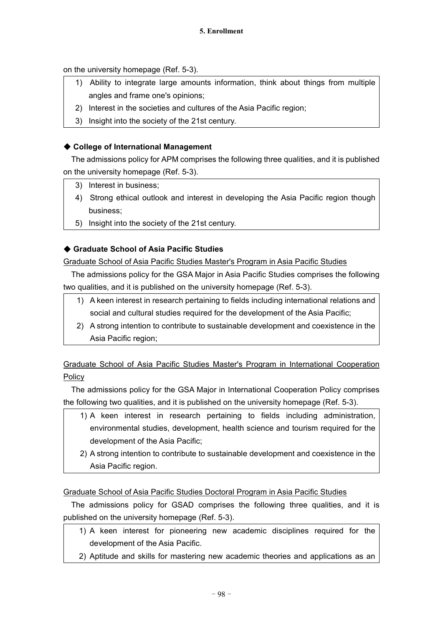on the university homepage (Ref. 5-3).

- 1) Ability to integrate large amounts information, think about things from multiple angles and frame one's opinions;
- 2) Interest in the societies and cultures of the Asia Pacific region;
- 3) Insight into the society of the 21st century.

# ◆ **College of International Management**

The admissions policy for APM comprises the following three qualities, and it is published on the university homepage (Ref. 5-3).

- 3) Interest in business;
- 4) Strong ethical outlook and interest in developing the Asia Pacific region though business;
- 5) Insight into the society of the 21st century.

# ◆ **Graduate School of Asia Pacific Studies**

Graduate School of Asia Pacific Studies Master's Program in Asia Pacific Studies

The admissions policy for the GSA Major in Asia Pacific Studies comprises the following two qualities, and it is published on the university homepage (Ref. 5-3).

- 1) A keen interest in research pertaining to fields including international relations and social and cultural studies required for the development of the Asia Pacific;
- 2) A strong intention to contribute to sustainable development and coexistence in the Asia Pacific region;

Graduate School of Asia Pacific Studies Master's Program in International Cooperation **Policy** 

The admissions policy for the GSA Major in International Cooperation Policy comprises the following two qualities, and it is published on the university homepage (Ref. 5-3).

- 1) A keen interest in research pertaining to fields including administration, environmental studies, development, health science and tourism required for the development of the Asia Pacific;
- 2) A strong intention to contribute to sustainable development and coexistence in the Asia Pacific region.

Graduate School of Asia Pacific Studies Doctoral Program in Asia Pacific Studies

The admissions policy for GSAD comprises the following three qualities, and it is published on the university homepage (Ref. 5-3).

- 1) A keen interest for pioneering new academic disciplines required for the development of the Asia Pacific.
- 2) Aptitude and skills for mastering new academic theories and applications as an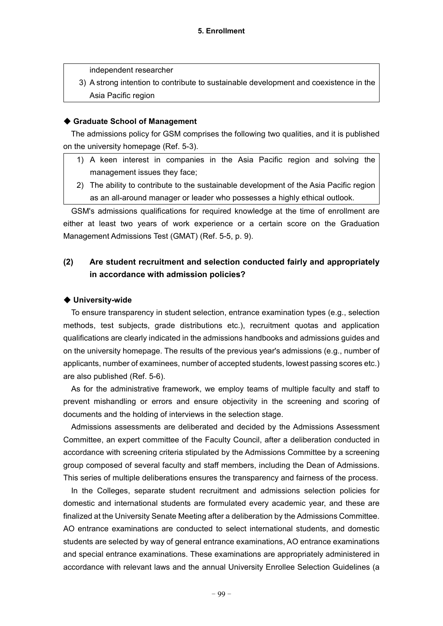independent researcher

3) A strong intention to contribute to sustainable development and coexistence in the Asia Pacific region

### ◆ **Graduate School of Management**

The admissions policy for GSM comprises the following two qualities, and it is published on the university homepage (Ref. 5-3).

- 1) A keen interest in companies in the Asia Pacific region and solving the management issues they face;
- 2) The ability to contribute to the sustainable development of the Asia Pacific region as an all-around manager or leader who possesses a highly ethical outlook.

GSM's admissions qualifications for required knowledge at the time of enrollment are either at least two years of work experience or a certain score on the Graduation Management Admissions Test (GMAT) (Ref. 5-5, p. 9).

# **(2) Are student recruitment and selection conducted fairly and appropriately in accordance with admission policies?**

#### ◆ **University-wide**

To ensure transparency in student selection, entrance examination types (e.g., selection methods, test subjects, grade distributions etc.), recruitment quotas and application qualifications are clearly indicated in the admissions handbooks and admissions guides and on the university homepage. The results of the previous year's admissions (e.g., number of applicants, number of examinees, number of accepted students, lowest passing scores etc.) are also published (Ref. 5-6).

As for the administrative framework, we employ teams of multiple faculty and staff to prevent mishandling or errors and ensure objectivity in the screening and scoring of documents and the holding of interviews in the selection stage.

Admissions assessments are deliberated and decided by the Admissions Assessment Committee, an expert committee of the Faculty Council, after a deliberation conducted in accordance with screening criteria stipulated by the Admissions Committee by a screening group composed of several faculty and staff members, including the Dean of Admissions. This series of multiple deliberations ensures the transparency and fairness of the process.

In the Colleges, separate student recruitment and admissions selection policies for domestic and international students are formulated every academic year, and these are finalized at the University Senate Meeting after a deliberation by the Admissions Committee. AO entrance examinations are conducted to select international students, and domestic students are selected by way of general entrance examinations, AO entrance examinations and special entrance examinations. These examinations are appropriately administered in accordance with relevant laws and the annual University Enrollee Selection Guidelines (a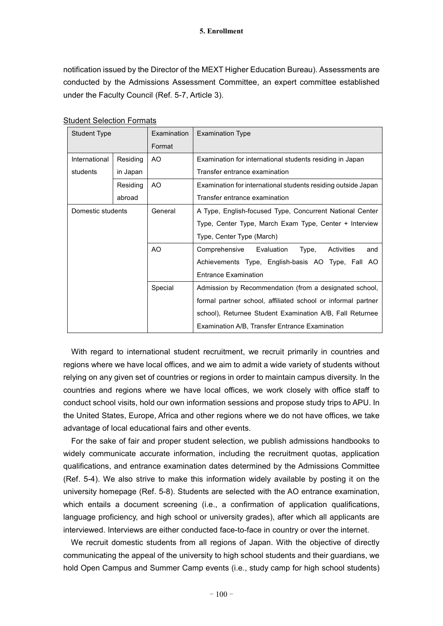notification issued by the Director of the MEXT Higher Education Bureau). Assessments are conducted by the Admissions Assessment Committee, an expert committee established under the Faculty Council (Ref. 5-7, Article 3).

| <b>Student Type</b> |          | Examination | <b>Examination Type</b>                                       |
|---------------------|----------|-------------|---------------------------------------------------------------|
|                     |          | Format      |                                                               |
| International       | Residing | AO.         | Examination for international students residing in Japan      |
| students            | in Japan |             | Transfer entrance examination                                 |
|                     | Residing | AO          | Examination for international students residing outside Japan |
|                     | abroad   |             | Transfer entrance examination                                 |
| Domestic students   |          | General     | A Type, English-focused Type, Concurrent National Center      |
|                     |          |             | Type, Center Type, March Exam Type, Center + Interview        |
|                     |          |             | Type, Center Type (March)                                     |
|                     |          | AO          | Comprehensive<br>Evaluation<br>Type,<br>Activities<br>and     |
|                     |          |             | Achievements Type, English-basis AO Type, Fall AO             |
|                     |          |             | <b>Entrance Examination</b>                                   |
|                     |          | Special     | Admission by Recommendation (from a designated school,        |
|                     |          |             | formal partner school, affiliated school or informal partner  |
|                     |          |             | school), Returnee Student Examination A/B, Fall Returnee      |
|                     |          |             | Examination A/B, Transfer Entrance Examination                |

With regard to international student recruitment, we recruit primarily in countries and regions where we have local offices, and we aim to admit a wide variety of students without relying on any given set of countries or regions in order to maintain campus diversity. In the countries and regions where we have local offices, we work closely with office staff to conduct school visits, hold our own information sessions and propose study trips to APU. In the United States, Europe, Africa and other regions where we do not have offices, we take advantage of local educational fairs and other events.

For the sake of fair and proper student selection, we publish admissions handbooks to widely communicate accurate information, including the recruitment quotas, application qualifications, and entrance examination dates determined by the Admissions Committee (Ref. 5-4). We also strive to make this information widely available by posting it on the university homepage (Ref. 5-8). Students are selected with the AO entrance examination, which entails a document screening (i.e., a confirmation of application qualifications, language proficiency, and high school or university grades), after which all applicants are interviewed. Interviews are either conducted face-to-face in country or over the internet.

We recruit domestic students from all regions of Japan. With the objective of directly communicating the appeal of the university to high school students and their guardians, we hold Open Campus and Summer Camp events (i.e., study camp for high school students)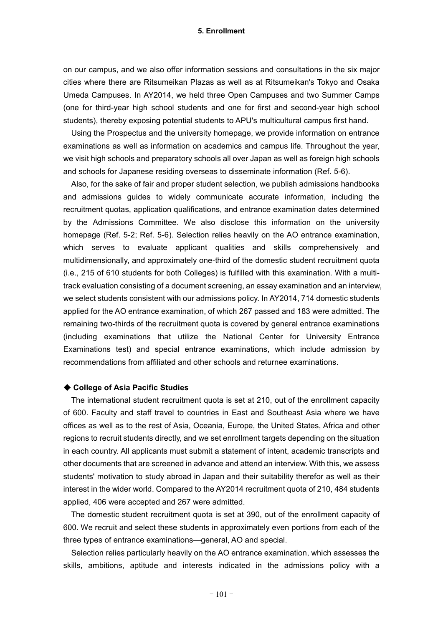#### **5. Enrollment**

on our campus, and we also offer information sessions and consultations in the six major cities where there are Ritsumeikan Plazas as well as at Ritsumeikan's Tokyo and Osaka Umeda Campuses. In AY2014, we held three Open Campuses and two Summer Camps (one for third-year high school students and one for first and second-year high school students), thereby exposing potential students to APU's multicultural campus first hand.

Using the Prospectus and the university homepage, we provide information on entrance examinations as well as information on academics and campus life. Throughout the year, we visit high schools and preparatory schools all over Japan as well as foreign high schools and schools for Japanese residing overseas to disseminate information (Ref. 5-6).

Also, for the sake of fair and proper student selection, we publish admissions handbooks and admissions guides to widely communicate accurate information, including the recruitment quotas, application qualifications, and entrance examination dates determined by the Admissions Committee. We also disclose this information on the university homepage (Ref. 5-2; Ref. 5-6). Selection relies heavily on the AO entrance examination, which serves to evaluate applicant qualities and skills comprehensively and multidimensionally, and approximately one-third of the domestic student recruitment quota (i.e., 215 of 610 students for both Colleges) is fulfilled with this examination. With a multitrack evaluation consisting of a document screening, an essay examination and an interview, we select students consistent with our admissions policy. In AY2014, 714 domestic students applied for the AO entrance examination, of which 267 passed and 183 were admitted. The remaining two-thirds of the recruitment quota is covered by general entrance examinations (including examinations that utilize the National Center for University Entrance Examinations test) and special entrance examinations, which include admission by recommendations from affiliated and other schools and returnee examinations.

#### ◆ **College of Asia Pacific Studies**

The international student recruitment quota is set at 210, out of the enrollment capacity of 600. Faculty and staff travel to countries in East and Southeast Asia where we have offices as well as to the rest of Asia, Oceania, Europe, the United States, Africa and other regions to recruit students directly, and we set enrollment targets depending on the situation in each country. All applicants must submit a statement of intent, academic transcripts and other documents that are screened in advance and attend an interview. With this, we assess students' motivation to study abroad in Japan and their suitability therefor as well as their interest in the wider world. Compared to the AY2014 recruitment quota of 210, 484 students applied, 406 were accepted and 267 were admitted.

The domestic student recruitment quota is set at 390, out of the enrollment capacity of 600. We recruit and select these students in approximately even portions from each of the three types of entrance examinations—general, AO and special.

Selection relies particularly heavily on the AO entrance examination, which assesses the skills, ambitions, aptitude and interests indicated in the admissions policy with a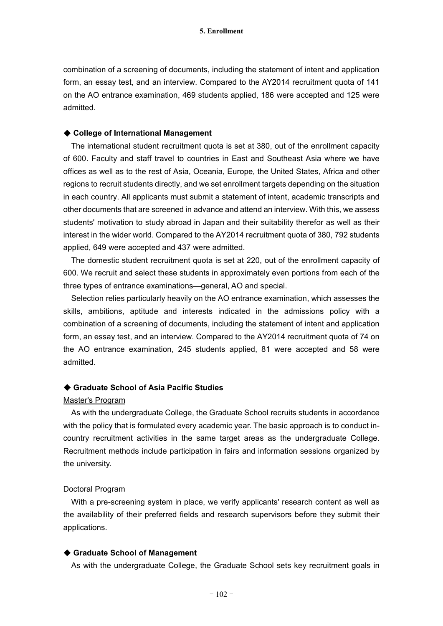combination of a screening of documents, including the statement of intent and application form, an essay test, and an interview. Compared to the AY2014 recruitment quota of 141 on the AO entrance examination, 469 students applied, 186 were accepted and 125 were admitted.

#### ◆ **College of International Management**

The international student recruitment quota is set at 380, out of the enrollment capacity of 600. Faculty and staff travel to countries in East and Southeast Asia where we have offices as well as to the rest of Asia, Oceania, Europe, the United States, Africa and other regions to recruit students directly, and we set enrollment targets depending on the situation in each country. All applicants must submit a statement of intent, academic transcripts and other documents that are screened in advance and attend an interview. With this, we assess students' motivation to study abroad in Japan and their suitability therefor as well as their interest in the wider world. Compared to the AY2014 recruitment quota of 380, 792 students applied, 649 were accepted and 437 were admitted.

The domestic student recruitment quota is set at 220, out of the enrollment capacity of 600. We recruit and select these students in approximately even portions from each of the three types of entrance examinations—general, AO and special.

Selection relies particularly heavily on the AO entrance examination, which assesses the skills, ambitions, aptitude and interests indicated in the admissions policy with a combination of a screening of documents, including the statement of intent and application form, an essay test, and an interview. Compared to the AY2014 recruitment quota of 74 on the AO entrance examination, 245 students applied, 81 were accepted and 58 were admitted.

### ◆ **Graduate School of Asia Pacific Studies**

#### Master's Program

As with the undergraduate College, the Graduate School recruits students in accordance with the policy that is formulated every academic year. The basic approach is to conduct incountry recruitment activities in the same target areas as the undergraduate College. Recruitment methods include participation in fairs and information sessions organized by the university.

#### Doctoral Program

With a pre-screening system in place, we verify applicants' research content as well as the availability of their preferred fields and research supervisors before they submit their applications.

#### ◆ **Graduate School of Management**

As with the undergraduate College, the Graduate School sets key recruitment goals in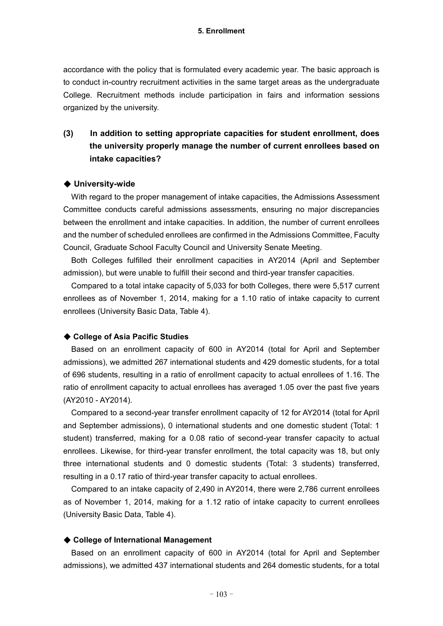accordance with the policy that is formulated every academic year. The basic approach is to conduct in-country recruitment activities in the same target areas as the undergraduate College. Recruitment methods include participation in fairs and information sessions organized by the university.

# **(3) In addition to setting appropriate capacities for student enrollment, does the university properly manage the number of current enrollees based on intake capacities?**

#### ◆ **University-wide**

With regard to the proper management of intake capacities, the Admissions Assessment Committee conducts careful admissions assessments, ensuring no major discrepancies between the enrollment and intake capacities. In addition, the number of current enrollees and the number of scheduled enrollees are confirmed in the Admissions Committee, Faculty Council, Graduate School Faculty Council and University Senate Meeting.

Both Colleges fulfilled their enrollment capacities in AY2014 (April and September admission), but were unable to fulfill their second and third-year transfer capacities.

Compared to a total intake capacity of 5,033 for both Colleges, there were 5,517 current enrollees as of November 1, 2014, making for a 1.10 ratio of intake capacity to current enrollees (University Basic Data, Table 4).

#### ◆ **College of Asia Pacific Studies**

Based on an enrollment capacity of 600 in AY2014 (total for April and September admissions), we admitted 267 international students and 429 domestic students, for a total of 696 students, resulting in a ratio of enrollment capacity to actual enrollees of 1.16. The ratio of enrollment capacity to actual enrollees has averaged 1.05 over the past five years (AY2010 - AY2014).

Compared to a second-year transfer enrollment capacity of 12 for AY2014 (total for April and September admissions), 0 international students and one domestic student (Total: 1 student) transferred, making for a 0.08 ratio of second-year transfer capacity to actual enrollees. Likewise, for third-year transfer enrollment, the total capacity was 18, but only three international students and 0 domestic students (Total: 3 students) transferred, resulting in a 0.17 ratio of third-year transfer capacity to actual enrollees.

Compared to an intake capacity of 2,490 in AY2014, there were 2,786 current enrollees as of November 1, 2014, making for a 1.12 ratio of intake capacity to current enrollees (University Basic Data, Table 4).

#### ◆ **College of International Management**

Based on an enrollment capacity of 600 in AY2014 (total for April and September admissions), we admitted 437 international students and 264 domestic students, for a total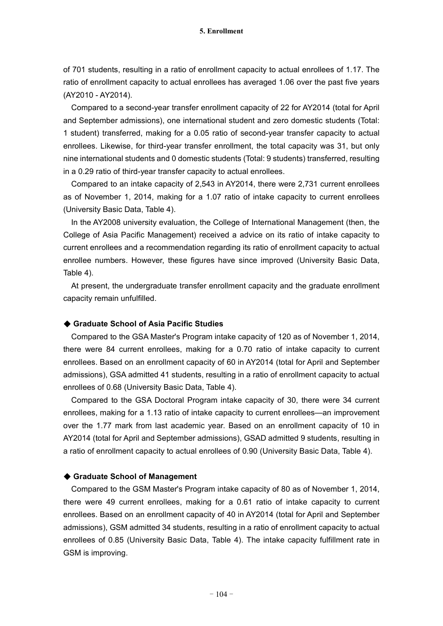#### **5. Enrollment**

of 701 students, resulting in a ratio of enrollment capacity to actual enrollees of 1.17. The ratio of enrollment capacity to actual enrollees has averaged 1.06 over the past five years (AY2010 - AY2014).

Compared to a second-year transfer enrollment capacity of 22 for AY2014 (total for April and September admissions), one international student and zero domestic students (Total: 1 student) transferred, making for a 0.05 ratio of second-year transfer capacity to actual enrollees. Likewise, for third-year transfer enrollment, the total capacity was 31, but only nine international students and 0 domestic students (Total: 9 students) transferred, resulting in a 0.29 ratio of third-year transfer capacity to actual enrollees.

Compared to an intake capacity of 2,543 in AY2014, there were 2,731 current enrollees as of November 1, 2014, making for a 1.07 ratio of intake capacity to current enrollees (University Basic Data, Table 4).

In the AY2008 university evaluation, the College of International Management (then, the College of Asia Pacific Management) received a advice on its ratio of intake capacity to current enrollees and a recommendation regarding its ratio of enrollment capacity to actual enrollee numbers. However, these figures have since improved (University Basic Data, Table 4).

At present, the undergraduate transfer enrollment capacity and the graduate enrollment capacity remain unfulfilled.

#### ◆ **Graduate School of Asia Pacific Studies**

Compared to the GSA Master's Program intake capacity of 120 as of November 1, 2014, there were 84 current enrollees, making for a 0.70 ratio of intake capacity to current enrollees. Based on an enrollment capacity of 60 in AY2014 (total for April and September admissions), GSA admitted 41 students, resulting in a ratio of enrollment capacity to actual enrollees of 0.68 (University Basic Data, Table 4).

Compared to the GSA Doctoral Program intake capacity of 30, there were 34 current enrollees, making for a 1.13 ratio of intake capacity to current enrollees—an improvement over the 1.77 mark from last academic year. Based on an enrollment capacity of 10 in AY2014 (total for April and September admissions), GSAD admitted 9 students, resulting in a ratio of enrollment capacity to actual enrollees of 0.90 (University Basic Data, Table 4).

### ◆ **Graduate School of Management**

Compared to the GSM Master's Program intake capacity of 80 as of November 1, 2014, there were 49 current enrollees, making for a 0.61 ratio of intake capacity to current enrollees. Based on an enrollment capacity of 40 in AY2014 (total for April and September admissions), GSM admitted 34 students, resulting in a ratio of enrollment capacity to actual enrollees of 0.85 (University Basic Data, Table 4). The intake capacity fulfillment rate in GSM is improving.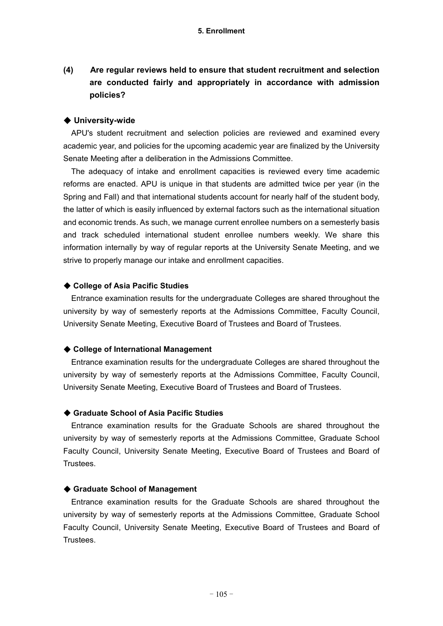# **(4) Are regular reviews held to ensure that student recruitment and selection are conducted fairly and appropriately in accordance with admission policies?**

### ◆ **University-wide**

APU's student recruitment and selection policies are reviewed and examined every academic year, and policies for the upcoming academic year are finalized by the University Senate Meeting after a deliberation in the Admissions Committee.

The adequacy of intake and enrollment capacities is reviewed every time academic reforms are enacted. APU is unique in that students are admitted twice per year (in the Spring and Fall) and that international students account for nearly half of the student body, the latter of which is easily influenced by external factors such as the international situation and economic trends. As such, we manage current enrollee numbers on a semesterly basis and track scheduled international student enrollee numbers weekly. We share this information internally by way of regular reports at the University Senate Meeting, and we strive to properly manage our intake and enrollment capacities.

### ◆ **College of Asia Pacific Studies**

Entrance examination results for the undergraduate Colleges are shared throughout the university by way of semesterly reports at the Admissions Committee, Faculty Council, University Senate Meeting, Executive Board of Trustees and Board of Trustees.

## ◆ **College of International Management**

Entrance examination results for the undergraduate Colleges are shared throughout the university by way of semesterly reports at the Admissions Committee, Faculty Council, University Senate Meeting, Executive Board of Trustees and Board of Trustees.

#### ◆ **Graduate School of Asia Pacific Studies**

Entrance examination results for the Graduate Schools are shared throughout the university by way of semesterly reports at the Admissions Committee, Graduate School Faculty Council, University Senate Meeting, Executive Board of Trustees and Board of **Trustees** 

### ◆ **Graduate School of Management**

Entrance examination results for the Graduate Schools are shared throughout the university by way of semesterly reports at the Admissions Committee, Graduate School Faculty Council, University Senate Meeting, Executive Board of Trustees and Board of Trustees.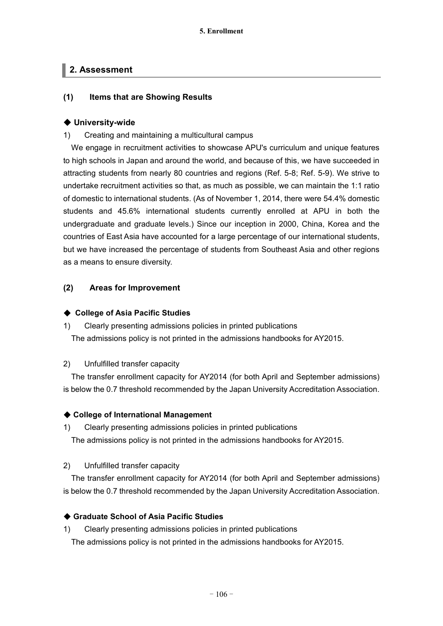# **2. Assessment**

# **(1) Items that are Showing Results**

# ◆ **University-wide**

1) Creating and maintaining a multicultural campus

We engage in recruitment activities to showcase APU's curriculum and unique features to high schools in Japan and around the world, and because of this, we have succeeded in attracting students from nearly 80 countries and regions (Ref. 5-8; Ref. 5-9). We strive to undertake recruitment activities so that, as much as possible, we can maintain the 1:1 ratio of domestic to international students. (As of November 1, 2014, there were 54.4% domestic students and 45.6% international students currently enrolled at APU in both the undergraduate and graduate levels.) Since our inception in 2000, China, Korea and the countries of East Asia have accounted for a large percentage of our international students, but we have increased the percentage of students from Southeast Asia and other regions as a means to ensure diversity.

# **(2) Areas for Improvement**

## ◆ **College of Asia Pacific Studies**

1) Clearly presenting admissions policies in printed publications The admissions policy is not printed in the admissions handbooks for AY2015.

## 2) Unfulfilled transfer capacity

The transfer enrollment capacity for AY2014 (for both April and September admissions) is below the 0.7 threshold recommended by the Japan University Accreditation Association.

# ◆ **College of International Management**

1) Clearly presenting admissions policies in printed publications

The admissions policy is not printed in the admissions handbooks for AY2015.

# 2) Unfulfilled transfer capacity

The transfer enrollment capacity for AY2014 (for both April and September admissions) is below the 0.7 threshold recommended by the Japan University Accreditation Association.

# ◆ **Graduate School of Asia Pacific Studies**

1) Clearly presenting admissions policies in printed publications The admissions policy is not printed in the admissions handbooks for AY2015.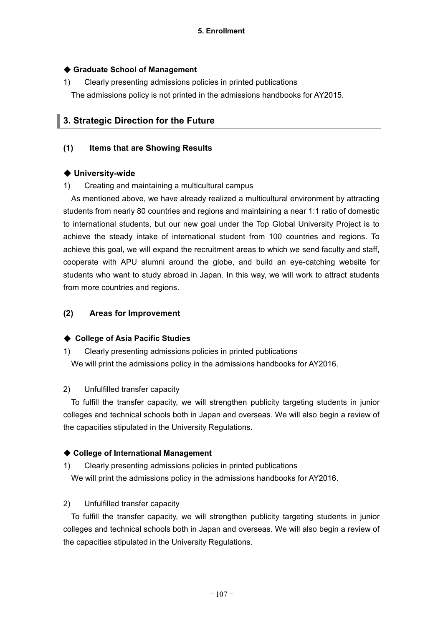## ◆ **Graduate School of Management**

1) Clearly presenting admissions policies in printed publications The admissions policy is not printed in the admissions handbooks for AY2015.

# **3. Strategic Direction for the Future**

## **(1) Items that are Showing Results**

## ◆ **University-wide**

1) Creating and maintaining a multicultural campus

As mentioned above, we have already realized a multicultural environment by attracting students from nearly 80 countries and regions and maintaining a near 1:1 ratio of domestic to international students, but our new goal under the Top Global University Project is to achieve the steady intake of international student from 100 countries and regions. To achieve this goal, we will expand the recruitment areas to which we send faculty and staff, cooperate with APU alumni around the globe, and build an eye-catching website for students who want to study abroad in Japan. In this way, we will work to attract students from more countries and regions.

# **(2) Areas for Improvement**

## ◆ **College of Asia Pacific Studies**

1) Clearly presenting admissions policies in printed publications We will print the admissions policy in the admissions handbooks for AY2016.

## 2) Unfulfilled transfer capacity

To fulfill the transfer capacity, we will strengthen publicity targeting students in junior colleges and technical schools both in Japan and overseas. We will also begin a review of the capacities stipulated in the University Regulations.

## ◆ **College of International Management**

1) Clearly presenting admissions policies in printed publications

We will print the admissions policy in the admissions handbooks for AY2016.

## 2) Unfulfilled transfer capacity

To fulfill the transfer capacity, we will strengthen publicity targeting students in junior colleges and technical schools both in Japan and overseas. We will also begin a review of the capacities stipulated in the University Regulations.